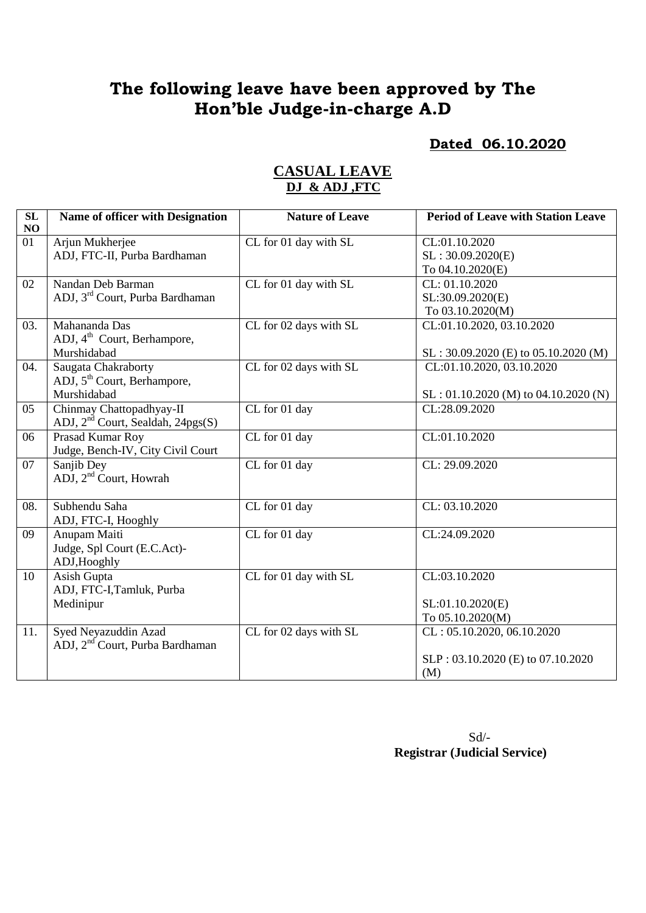# **The following leave have been approved by The Hon'ble Judge-in-charge A.D**

#### **Dated 06.10.2020**

| SL<br>NO | Name of officer with Designation              | <b>Nature of Leave</b>            | <b>Period of Leave with Station Leave</b> |
|----------|-----------------------------------------------|-----------------------------------|-------------------------------------------|
| 01       | Arjun Mukherjee                               | CL for 01 day with SL             | CL:01.10.2020                             |
|          | ADJ, FTC-II, Purba Bardhaman                  |                                   | SL: 30.09.2020(E)                         |
|          |                                               |                                   | To 04.10.2020(E)                          |
| 02       | Nandan Deb Barman                             | CL for 01 day with SL             | CL: 01.10.2020                            |
|          | ADJ, 3 <sup>rd</sup> Court, Purba Bardhaman   |                                   | SL:30.09.2020(E)                          |
|          |                                               |                                   | To 03.10.2020(M)                          |
| 03.      | Mahananda Das                                 | CL for 02 days with SL            | CL:01.10.2020, 03.10.2020                 |
|          | ADJ, 4 <sup>th</sup> Court, Berhampore,       |                                   |                                           |
|          | Murshidabad                                   |                                   | $SL: 30.09.2020$ (E) to 05.10.2020 (M)    |
| 04.      | Saugata Chakraborty                           | CL for 02 days with SL            | CL:01.10.2020, 03.10.2020                 |
|          | ADJ, 5 <sup>th</sup> Court, Berhampore,       |                                   |                                           |
|          | Murshidabad                                   |                                   | $SL: 01.10.2020$ (M) to 04.10.2020 (N)    |
| 05       | Chinmay Chattopadhyay-II                      | CL for 01 day                     | CL:28.09.2020                             |
|          | ADJ, 2 <sup>nd</sup> Court, Sealdah, 24pgs(S) |                                   |                                           |
| 06       | Prasad Kumar Roy                              | CL for 01 day                     | CL:01.10.2020                             |
|          | Judge, Bench-IV, City Civil Court             |                                   |                                           |
| 07       | Sanjib Dey                                    | CL for 01 day                     | CL: 29.09.2020                            |
|          | ADJ, 2 <sup>nd</sup> Court, Howrah            |                                   |                                           |
|          |                                               |                                   |                                           |
| 08.      | Subhendu Saha                                 | $\overline{\text{CL}}$ for 01 day | CL: 03.10.2020                            |
|          | ADJ, FTC-I, Hooghly                           |                                   |                                           |
| 09       | Anupam Maiti                                  | CL for 01 day                     | CL:24.09.2020                             |
|          | Judge, Spl Court (E.C.Act)-                   |                                   |                                           |
| 10       | ADJ, Hooghly                                  |                                   | CL:03.10.2020                             |
|          | Asish Gupta                                   | CL for 01 day with SL             |                                           |
|          | ADJ, FTC-I, Tamluk, Purba                     |                                   |                                           |
|          | Medinipur                                     |                                   | SL:01.10.2020(E)                          |
|          |                                               |                                   | To 05.10.2020(M)                          |
| 11.      | Syed Neyazuddin Azad                          | CL for 02 days with SL            | CL: 05.10.2020, 06.10.2020                |
|          | ADJ, 2 <sup>nd</sup> Court, Purba Bardhaman   |                                   |                                           |
|          |                                               |                                   | SLP: 03.10.2020 (E) to 07.10.2020         |
|          |                                               |                                   | (M)                                       |

#### **CASUAL LEAVE DJ & ADJ ,FTC**

Sd/- **Registrar (Judicial Service)**